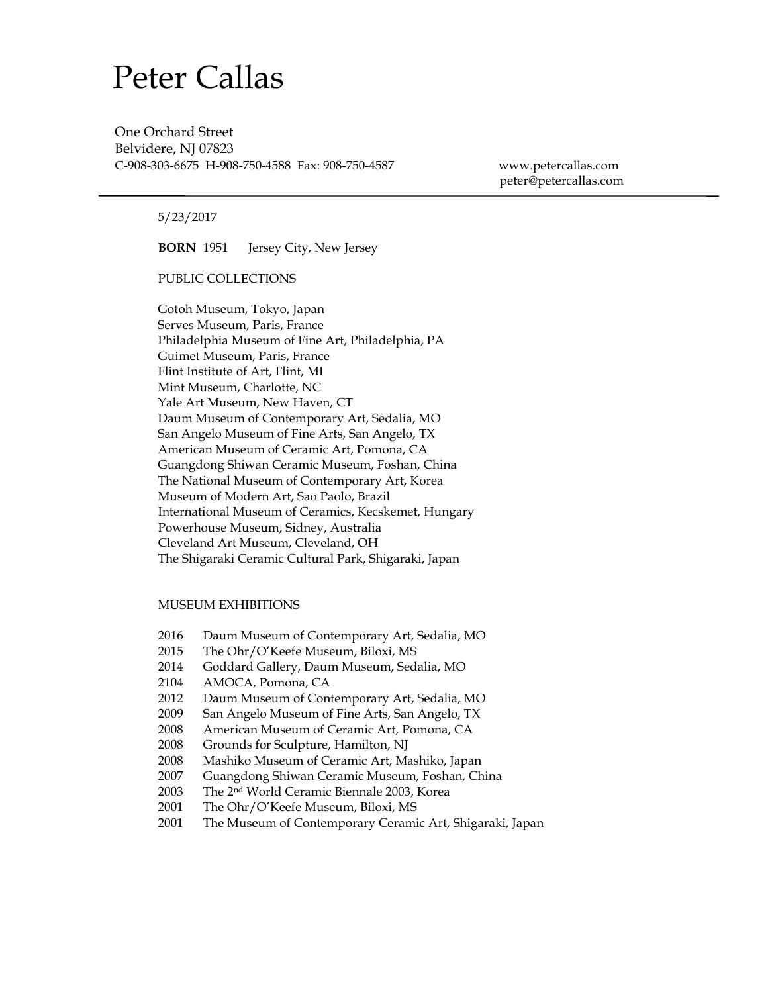# Peter Callas

One Orchard Street Belvidere, NJ 07823

C-908-303-6675 H-908-750-4588 Fax: 908-750-4587 [www.petercallas.com](http://www.petercallas.com/) [peter@pete](mailto:pcallas1@comcast.net)rcallas.com

# 5/23/2017

**BORN** 1951 Jersey City, New Jersey

PUBLIC COLLECTIONS

Gotoh Museum, Tokyo, Japan Serves Museum, Paris, France Philadelphia Museum of Fine Art, Philadelphia, PA Guimet Museum, Paris, France Flint Institute of Art, Flint, MI Mint Museum, Charlotte, NC Yale Art Museum, New Haven, CT Daum Museum of Contemporary Art, Sedalia, MO San Angelo Museum of Fine Arts, San Angelo, TX American Museum of Ceramic Art, Pomona, CA Guangdong Shiwan Ceramic Museum, Foshan, China The National Museum of Contemporary Art, Korea Museum of Modern Art, Sao Paolo, Brazil International Museum of Ceramics, Kecskemet, Hungary Powerhouse Museum, Sidney, Australia Cleveland Art Museum, Cleveland, OH The Shigaraki Ceramic Cultural Park, Shigaraki, Japan

#### MUSEUM EXHIBITIONS

- 2016 Daum Museum of Contemporary Art, Sedalia, MO
- 2015 The Ohr/O'Keefe Museum, Biloxi, MS
- 2014 Goddard Gallery, Daum Museum, Sedalia, MO
- 2104 AMOCA, Pomona, CA
- 2012 Daum Museum of Contemporary Art, Sedalia, MO
- 2009 San Angelo Museum of Fine Arts, San Angelo, TX
- 2008 American Museum of Ceramic Art, Pomona, CA
- 2008 Grounds for Sculpture, Hamilton, NJ
- 2008 Mashiko Museum of Ceramic Art, Mashiko, Japan
- 2007 Guangdong Shiwan Ceramic Museum, Foshan, China
- 2003 The 2nd World Ceramic Biennale 2003, Korea
- 2001 The Ohr/O'Keefe Museum, Biloxi, MS
- 2001 The Museum of Contemporary Ceramic Art, Shigaraki, Japan